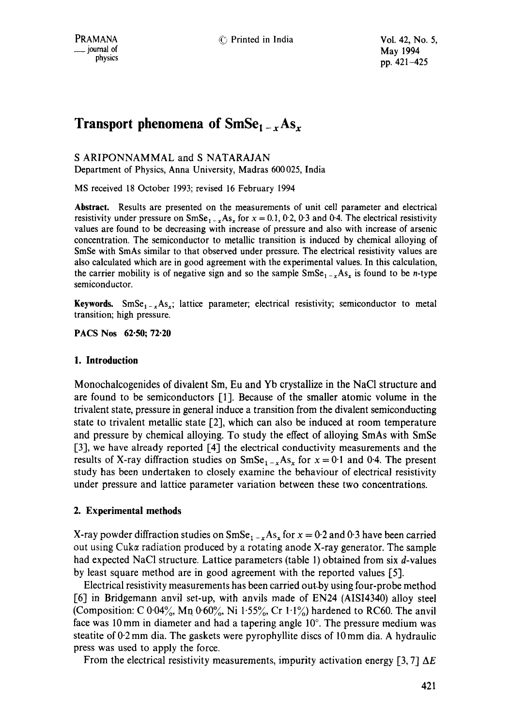# **Transport phenomena of SmSe<sub>1 – x</sub>As<sub>x</sub>**

S ARIPONNAMMAL and S NATARAJAN

Department of Physics, Anna University, Madras 600025, India

MS received 18 October 1993; revised 16 February 1994

**Abstract.** Results are presented on the measurements of unit cell parameter and electrical resistivity under pressure on  $SmSe_{1-x}As_x$  for  $x = 0.1$ , 0.2, 0.3 and 0.4. The electrical resistivity values are found to be decreasing with increase of pressure and also with increase of arsenic concentration. The semiconductor to metallic transition is induced by chemical alloying of SmSe with SmAs similar to that observed under pressure. The electrical resistivity values are also calculated which are in good agreement with the experimental values. In this calculation, the carrier mobility is of negative sign and so the sample  $\text{SmSe}_{1-x}As_x$  is found to be *n*-type semiconductor.

**Keywords.** SmSe<sub>1-x</sub>As<sub>x</sub>; lattice parameter; electrical resistivity; semiconductor to metal transition; high pressure.

**PACS Nos 62"50; 72"20** 

### **1. Introduction**

Monochalcogenides of divalent Sm, Eu and Yb crystallize in the NaCI structure and are found to be semiconductors [1]. Because of the smaller atomic volume in the trivalent state, pressure in general induce a transition from the divalent semiconducting state to trivalent metallic state [2], which can also be induced at room temperature and pressure by chemical alloying. To study the effect of alloying SmAs with SmSe [3], we have already reported [4] the electrical conductivity measurements and the results of X-ray diffraction studies on  $SmSe_{1-x}As_x$  for  $x = 0.1$  and 0.4. The present study has been undertaken to closely examine the behaviour of electrical resistivity under pressure and lattice parameter variation between these two concentrations.

## **2. Experimental methods**

X-ray powder diffraction studies on  $SmSe_{1-x}As_x$  for  $x = 0.2$  and 0.3 have been carried out using Cuk $\alpha$  radiation produced by a rotating anode X-ray generator. The sample had expected NaCl structure. Lattice parameters (table 1) obtained from six d-values by least square method are in good agreement with the reported values [5].

Electrical resistivity measurements has been carried out-by using four-probe method [6] in Bridgemann anvil set-up, with anvils made of EN24 (AISI4340) alloy steel (Composition: C 0.04%, Mn 0.60%, Ni 1.55%, Cr 1.1%) hardened to RC60. The anvil face was 10 mm in diameter and had a tapering angle  $10^{\circ}$ . The pressure medium was steatite of  $0.2$  mm dia. The gaskets were pyrophyllite discs of  $10$  mm dia. A hydraulic press was used to apply the force.

From the electrical resistivity measurements, impurity activation energy [3,7]  $\Delta E$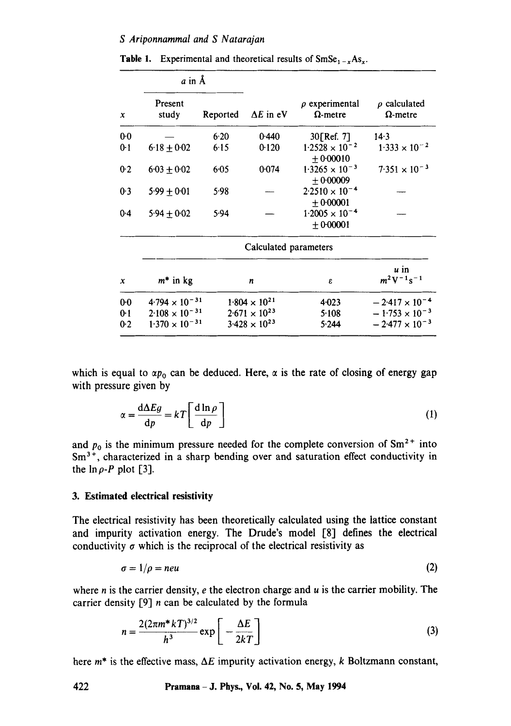| $\boldsymbol{x}$ | a in A                  |          |                        |                                        |                                          |
|------------------|-------------------------|----------|------------------------|----------------------------------------|------------------------------------------|
|                  | Present<br>study        | Reported | $\Delta E$ in eV       | $\rho$ experimental<br>$\Omega$ -metre | $\rho$ calculated<br>$\Omega$ -metre     |
| $0-0$            |                         | 6.20     | 0.440                  | 30[Ref. 7]                             | 14.3                                     |
| $0-1$            | $6.18 \pm 0.02$         | 6.15     | 0.120                  | $1.2528 \times 10^{-2}$<br>$+0.00010$  | $1.333 \times 10^{-2}$                   |
| 0.2              | $6.03 + 0.02$           | $6 - 05$ | 0.074                  | $1.3265 \times 10^{-3}$<br>$+0.00009$  | $7.351 \times 10^{-3}$                   |
| 0.3              | $5.99 \pm 0.01$         | 5.98     |                        | $2.2510 \times 10^{-4}$<br>$+0.00001$  |                                          |
| $0-4$            | $5.94 \pm 0.02$         | 5.94     |                        | $1.2005 \times 10^{-4}$<br>± 0.00001   |                                          |
|                  | Calculated parameters   |          |                        |                                        |                                          |
| $\mathbf x$      | $m^*$ in kg             |          | n                      | ε                                      | $\boldsymbol{u}$ in<br>$m^2V^{-1}s^{-1}$ |
| $0-0$            | $4.794 \times 10^{-31}$ |          | $1.804 \times 10^{21}$ | $4 - 023$                              | $-2.417 \times 10^{-4}$                  |
| $0-1$            | $2.108 \times 10^{-31}$ |          | $2.671 \times 10^{23}$ | 5.108                                  | $-1.753 \times 10^{-3}$                  |
| $0-2$            | $1.370 \times 10^{-31}$ |          | $3.428 \times 10^{23}$ | 5.244                                  | $-2.477 \times 10^{-3}$                  |

**Table 1.** Experimental and theoretical results of  $SmSe_{1-x}As_{x}$ .

which is equal to  $\alpha p_0$  can be deduced. Here,  $\alpha$  is the rate of closing of energy gap with pressure given by

$$
\alpha = \frac{\mathrm{d}\Delta E g}{\mathrm{d}p} = kT \left[ \frac{\mathrm{d}\ln\rho}{\mathrm{d}p} \right] \tag{1}
$$

and  $p_0$  is the minimum pressure needed for the complete conversion of  $Sm^{2+}$  into  $Sm<sup>3+</sup>$ , characterized in a sharp bending over and saturation effect conductivity in the  $\ln \rho$ -P plot [3].

### **3. Estimated electrical resistivity**

The electrical resistivity has been theoretically calculated using the lattice constant and impurity activation energy. The Drude's model [8] defines the electrical conductivity  $\sigma$  which is the reciprocal of the electrical resistivity as

$$
\sigma = 1/\rho = neu \tag{2}
$$

where  $n$  is the carrier density,  $e$  the electron charge and  $u$  is the carrier mobility. The carrier density  $[9]$  n can be calculated by the formula

$$
n = \frac{2(2\pi m^* kT)^{3/2}}{h^3} \exp\left[-\frac{\Delta E}{2kT}\right]
$$
 (3)

here  $m^*$  is the effective mass,  $\Delta E$  impurity activation energy, k Boltzmann constant,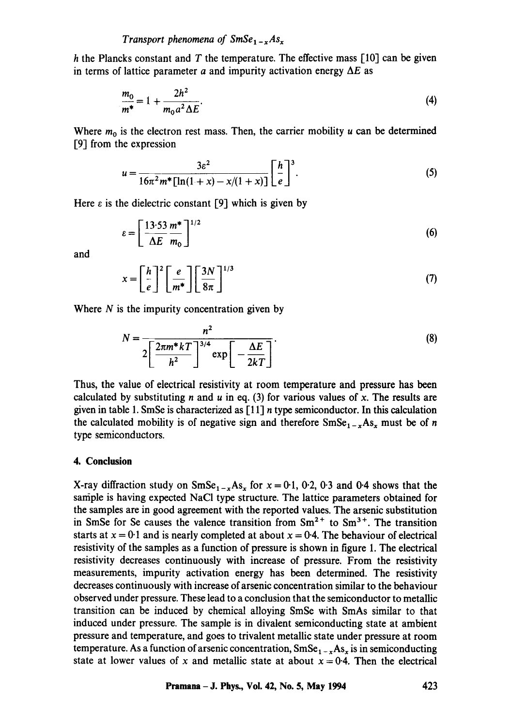h the Plancks constant and T the temperature. The effective mass  $[10]$  can be given in terms of lattice parameter a and impurity activation energy  $\Delta E$  as

$$
\frac{m_0}{m^*} = 1 + \frac{2h^2}{m_0 a^2 \Delta E}.
$$
\n(4)

Where  $m_0$  is the electron rest mass. Then, the carrier mobility u can be determined  $[9]$  from the expression

$$
u = \frac{3\varepsilon^2}{16\pi^2 m^* \left[ \ln(1+x) - x/(1+x) \right]} \left[ \frac{h}{e} \right]^3.
$$
 (5)

Here  $\varepsilon$  is the dielectric constant [9] which is given by

$$
\varepsilon = \left[\frac{13.53 \text{ m}^*}{\Delta E} \right]^{1/2} \tag{6}
$$

and

$$
x = \left[\frac{h}{e}\right]^2 \left[\frac{e}{m^*}\right] \left[\frac{3N}{8\pi}\right]^{1/3} \tag{7}
$$

Where  $N$  is the impurity concentration given by

$$
N = \frac{n^2}{2\left[\frac{2\pi m^* kT}{h^2}\right]^{3/4} \exp\left[-\frac{\Delta E}{2kT}\right]}.
$$
\n(8)

Thus, the value of electrical resistivity at room temperature and pressure has been calculated by substituting n and u in eq. (3) for various values of x. The results are given in table 1. SmSe is characterized as  $\lceil 11 \rceil n$  type semiconductor. In this calculation the calculated mobility is of negative sign and therefore  $\text{SmSe}_{1-x}\text{As}_x$  must be of n type semiconductors.

#### **4. Conclusion**

X-ray diffraction study on  $SmSe_{1-x}As_x$  for  $x = 0.1$ , 0.2, 0.3 and 0.4 shows that the sample is having expected NaCl type structure. The lattice parameters obtained for the samples are in good agreement with the reported values. The arsenic substitution in SmSe for Se causes the valence transition from  $Sm^{2+}$  to  $Sm^{3+}$ . The transition starts at  $x = 0.1$  and is nearly completed at about  $x = 0.4$ . The behaviour of electrical resistivity of the samples as a function of pressure is shown in figure 1. The electrical resistivity decreases continuously with increase of pressure. From the resistivity measurements, impurity activation energy has been determined. The resistivity decreases continuously with increase of arsenic concentration similar to the behaviour observed under pressure. These lead to a conclusion that the semiconductor to metallic transition can be induced by chemical alloying SmSe with SmAs similar to that induced under pressure. The sample is in divalent semiconducting state at ambient pressure and temperature, and goes to trivalent metallic state under pressure at room temperature. As a function of arsenic concentration,  $SmSe_{1-x}As_x$  is in semiconducting state at lower values of x and metallic state at about  $x = 0.4$ . Then the electrical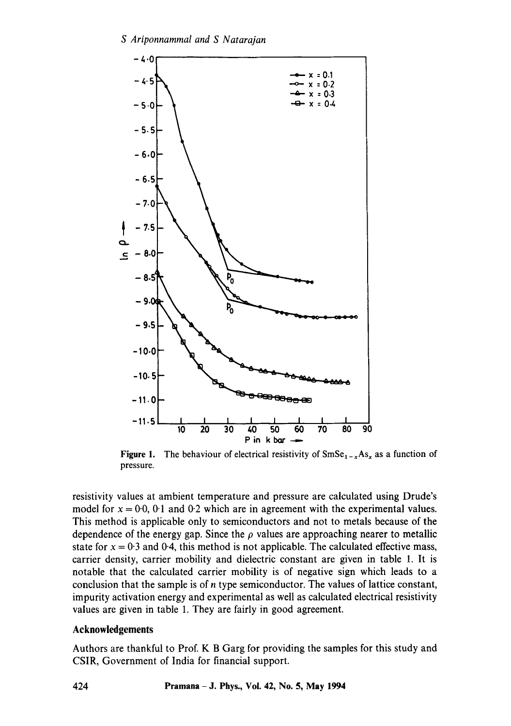

**Figure 1.** The behaviour of electrical resistivity of  $SmSe_{1-x}As_x$  as a function of pressure.

resistivity values at ambient temperature and pressure are calculated using Drude's model for  $x = 0.0$ , 0.1 and 0.2 which are in agreement with the experimental values. This method is applicable only to semiconductors and not to metals because of the dependence of the energy gap. Since the  $\rho$  values are approaching nearer to metallic state for  $x = 0.3$  and 0.4, this method is not applicable. The calculated effective mass, carrier density, carrier mobility and dielectric constant are given in table 1. It is notable that the calculated carrier mobility is of negative sign which leads to a conclusion that the sample is of n type semiconductor. The values of lattice constant, impurity activation energy and experimental as well as calculated electrical resistivity values are given in table 1. They are fairly in good agreement.

#### **Acknowledgements**

Authors are thankful to Prof. K B Garg for providing the samples for this study and CSIR, Government of India for financial support.